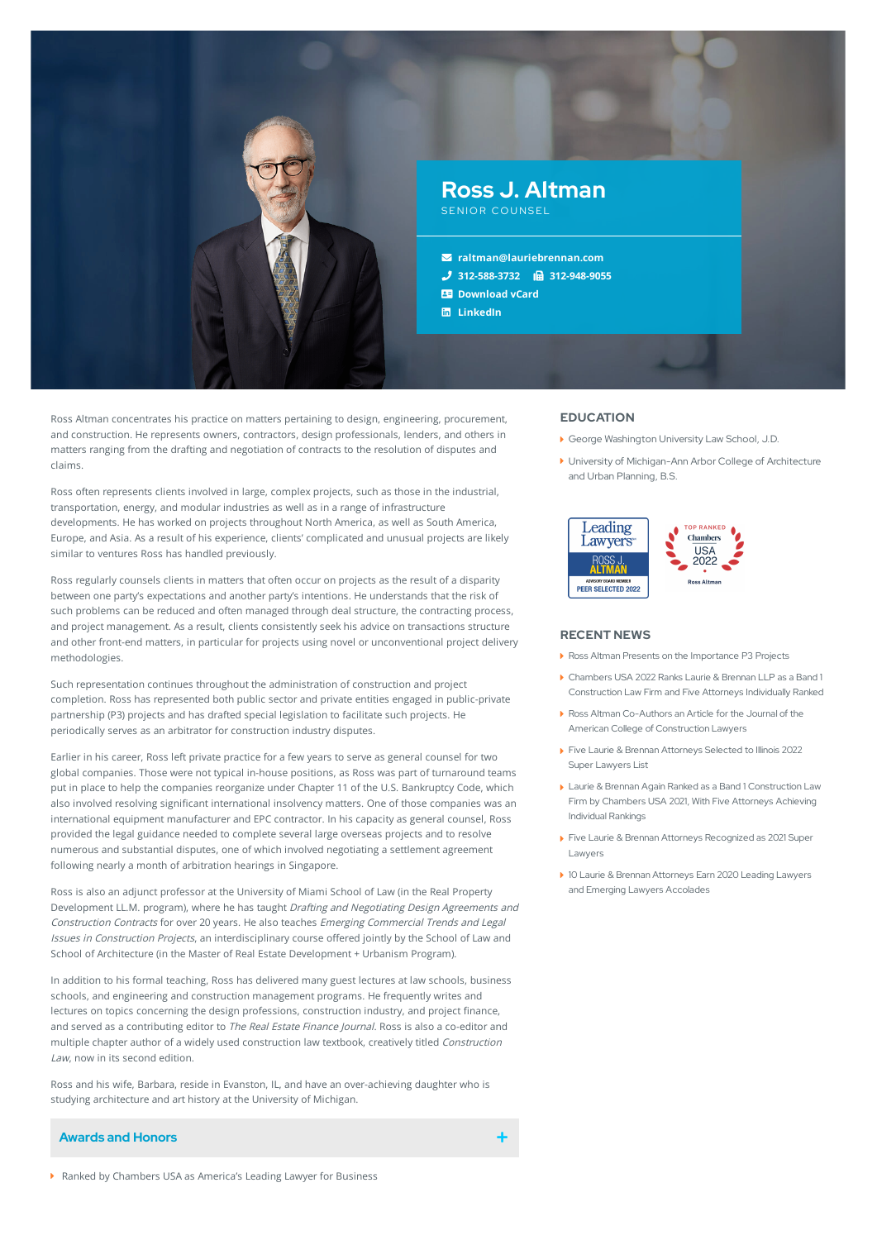

Ross Altman concentrates his practice on matters pertaining to design, engineering, procurement, and construction. He represents owners, contractors, design professionals, lenders, and others in matters ranging from the drafting and negotiation of contracts to the resolution of disputes and claims.

Ross often represents clients involved in large, complex projects, such as those in the industrial, transportation, energy, and modular industries as well as in a range of infrastructure developments. He has worked on projects throughout North America, as well as South America, Europe, and Asia. As a result of his experience, clients' complicated and unusual projects are likely similar to ventures Ross has handled previously.

Ross regularly counsels clients in matters that often occur on projects as the result of a disparity between one party's expectations and another party's intentions. He understands that the risk of such problems can be reduced and often managed through deal structure, the contracting process, and project management. As a result, clients consistently seek his advice on transactions structure and other front-end matters, in particular for projects using novel or unconventional project delivery methodologies.

Such representation continues throughout the administration of construction and project completion. Ross has represented both public sector and private entities engaged in public-private partnership (P3) projects and has drafted special legislation to facilitate such projects. He periodically serves as an arbitrator for construction industry disputes.

Earlier in his career, Ross left private practice for a few years to serve as general counsel for two global companies. Those were not typical in-house positions, as Ross was part of turnaround teams put in place to help the companies reorganize under Chapter 11 of the U.S. Bankruptcy Code, which also involved resolving significant international insolvency matters. One of those companies was an international equipment manufacturer and EPC contractor. In his capacity as general counsel, Ross provided the legal guidance needed to complete several large overseas projects and to resolve numerous and substantial disputes, one of which involved negotiating a settlement agreement following nearly a month of arbitration hearings in Singapore.

Ross is also an adjunct professor at the University of Miami School of Law (in the Real Property Development LL.M. program), where he has taught Drafting and Negotiating Design Agreements and Construction Contracts for over 20 years. He also teaches Emerging Commercial Trends and Legal Issues in Construction Projects, an interdisciplinary course offered jointly by the School of Law and School of Architecture (in the Master of Real Estate Development + Urbanism Program).

In addition to his formal teaching, Ross has delivered many guest lectures at law schools, business schools, and engineering and construction management programs. He frequently writes and lectures on topics concerning the design professions, construction industry, and project finance, and served as a contributing editor to The Real Estate Finance Journal. Ross is also a co-editor and multiple chapter author of a widely used construction law textbook, creatively titled Construction Law, now in its second edition.

Ross and his wife, Barbara, reside in Evanston, IL, and have an over-achieving daughter who is studying architecture and art history at the University of Michigan.

# **Awards and Honors**

**EDUCATION**

- ▶ George Washington University Law School, J.D.
- University of Michigan-Ann Arbor College of Architecture and Urban Planning, B.S.



#### **RECENT NEWS**

- Ross Altman Presents on the [Importance](https://www.lauriebrennan.com/blog/ross-altman-presents-on-the-importance-p3-projects/) P3 Projects
- Chambers USA 2022 Ranks Laurie & Brennan LLP as a Band 1 [Construction](https://www.lauriebrennan.com/blog/chambers-usa-2022-ranks-laurie-brennan-llp-as-a-band-1-construction-law-firm-and-five-attorneys-individually-ranked/) Law Firm and Five Attorneys Individually Ranked
- Ross Altman Co-Authors an Article for the Journal of the American College of [Construction](https://www.lauriebrennan.com/blog/ross-altman-co-authors-an-article-for-the-journal-of-the-american-college-of-construction-lawyers/) Lawyers
- Five Laurie & Brennan [Attorneys](https://www.lauriebrennan.com/blog/five-laurie-brennan-attorneys-selected-to-illinois-2022-super-lawyers-list/) Selected to Illinois 2022 Super Lawyers List
- Laurie & Brennan Again Ranked as a Band 1 [Construction](https://www.lauriebrennan.com/blog/laurie-brennan-again-ranked-as-a-band-1-construction-law-firm-by-chambers-usa-2021-with-five-attorneys-achieving-individual-rankings/) Law Firm by Chambers USA 2021, With Five Attorneys Achieving Individual Rankings
- Five Laurie & Brennan Attorneys [Recognized](https://www.lauriebrennan.com/blog/congratulations-laurie-brennan-2021-super-lawyers/) as 2021 Super Lawyers
- 10 Laurie & Brennan Attorneys Earn 2020 Leading Lawyers and Emerging Lawyers [Accolades](https://www.lauriebrennan.com/blog/ten-laurie-brennan-attorneys-earn-2020-leading-lawyers-and-emerging-lawyers-accolades/)

Ranked by Chambers USA as America's Leading Lawyer for Business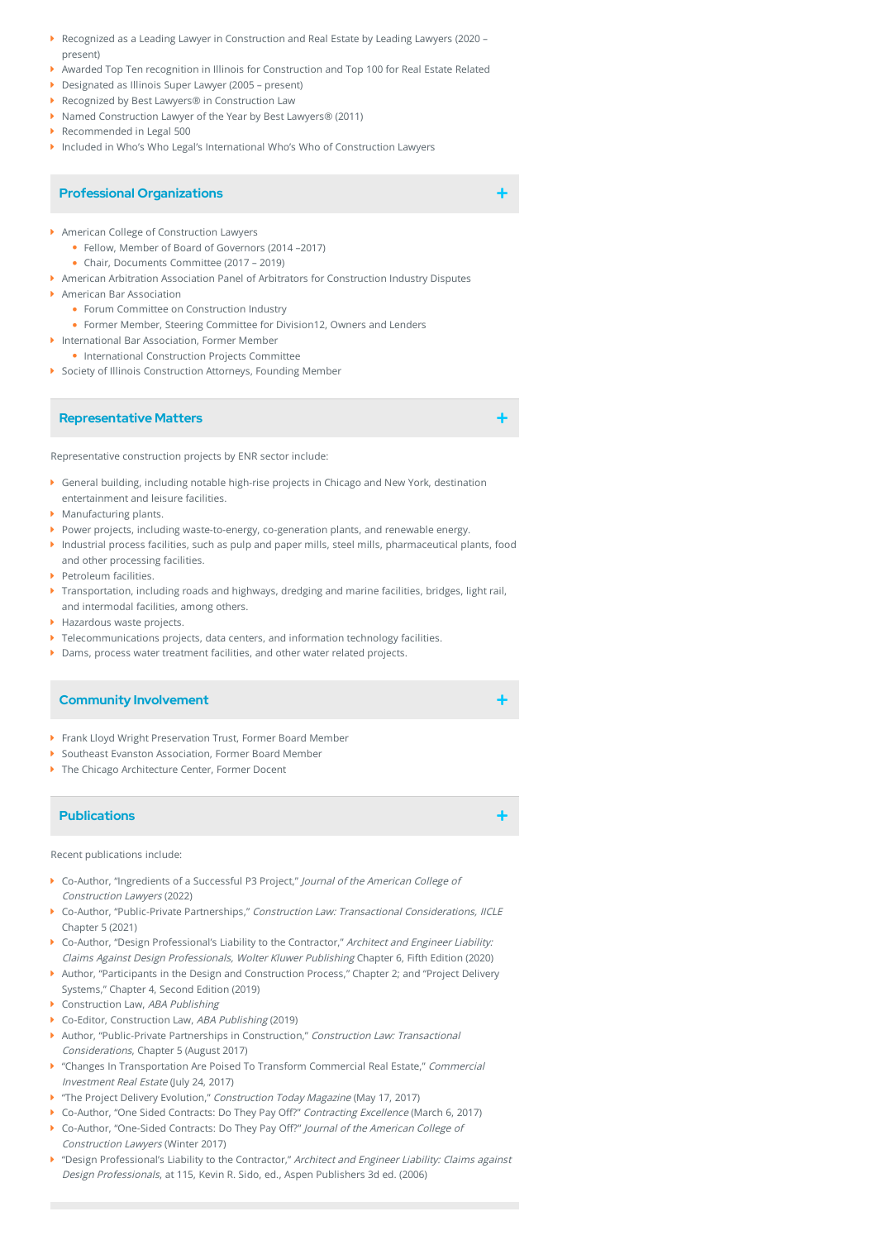- Recognized as a Leading Lawyer in Construction and Real Estate by Leading Lawyers (2020 present)
- Awarded Top Ten recognition in Illinois for Construction and Top 100 for Real Estate Related
- Designated as Illinois Super Lawyer (2005 present)
- ▶ Recognized by Best Lawyers® in Construction Law
- ▶ Named Construction Lawyer of the Year by Best Lawyers® (2011)
- Recommended in Legal 500
- Included in Who's Who Legal's International Who's Who of Construction Lawyers

#### **Professional Organizations**

- American College of Construction Lawyers
- Fellow, Member of Board of Governors (2014 –2017)
	- Chair, Documents Committee (2017 2019)
- American Arbitration Association Panel of Arbitrators for Construction Industry Disputes
- American Bar Association
	- Forum Committee on Construction Industry
	- Former Member, Steering Committee for Division12, Owners and Lenders
- **International Bar Association, Former Member**
- International Construction Projects Committee
- Society of Illinois Construction Attorneys, Founding Member

#### **Representative Matters**

Representative construction projects by ENR sector include:

- General building, including notable high-rise projects in Chicago and New York, destination entertainment and leisure facilities.
- **Manufacturing plants.**
- Power projects, including waste-to-energy, co-generation plants, and renewable energy.
- Industrial process facilities, such as pulp and paper mills, steel mills, pharmaceutical plants, food and other processing facilities.
- Petroleum facilities.
- Transportation, including roads and highways, dredging and marine facilities, bridges, light rail, and intermodal facilities, among others.
- ▶ Hazardous waste projects.
- Telecommunications projects, data centers, and information technology facilities.
- Dams, process water treatment facilities, and other water related projects.

# **Community Involvement**

- Frank Lloyd Wright Preservation Trust, Former Board Member
- ▶ Southeast Evanston Association, Former Board Member
- The Chicago Architecture Center, Former Docent

# **Publications**

Recent publications include:

- Co-Author, "Ingredients of a Successful P3 Project," Journal of the American College of Construction Lawyers (2022)
- Co-Author, "Public-Private Partnerships," Construction Law: Transactional Considerations, IICLE Chapter 5 (2021)
- Co-Author, "Design Professional's Liability to the Contractor," Architect and Engineer Liability: Claims Against Design Professionals, Wolter Kluwer Publishing Chapter 6, Fifth Edition (2020)
- Author, "Participants in the Design and Construction Process," Chapter 2; and "Project Delivery Systems," Chapter 4, Second Edition (2019)
- Construction Law, ABA Publishing
- ▶ Co-Editor, Construction Law, ABA Publishing (2019)
- Author, "Public-Private Partnerships in Construction," Construction Law: Transactional Considerations, Chapter 5 (August 2017)
- **M** "Changes In Transportation Are Poised To Transform Commercial Real Estate," Commercial Investment Real Estate (July 24, 2017)
- The Project Delivery Evolution," Construction Today Magazine (May 17, 2017)
- ▶ Co-Author, "One Sided Contracts: Do They Pay Off?" Contracting Excellence (March 6, 2017)
- Co-Author, "One-Sided Contracts: Do They Pay Off?" Journal of the American College of Construction Lawyers (Winter 2017)
- **M** "Design Professional's Liability to the Contractor," Architect and Engineer Liability: Claims against Design Professionals, at 115, Kevin R. Sido, ed., Aspen Publishers 3d ed. (2006)